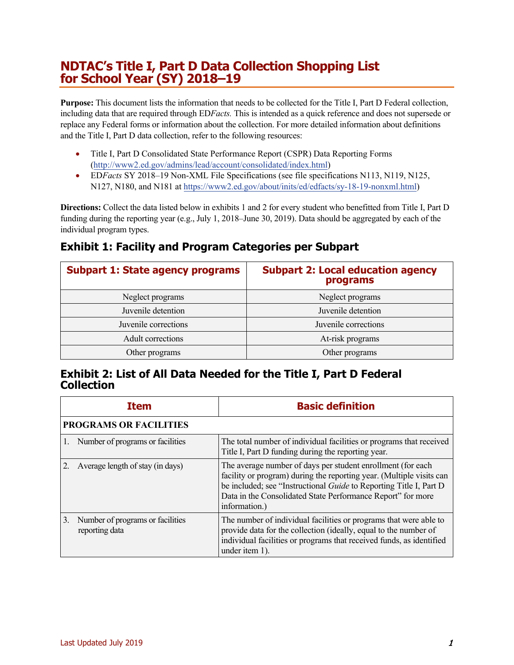## **NDTAC's Title I, Part D Data Collection Shopping List for School Year (SY) 2018–19**

**Purpose:** This document lists the information that needs to be collected for the Title I, Part D Federal collection, including data that are required through ED*Facts.* This is intended as a quick reference and does not supersede or replace any Federal forms or information about the collection. For more detailed information about definitions and the Title I, Part D data collection, refer to the following resources:

- Title I, Part D Consolidated State Performance Report (CSPR) Data Reporting Forms [\(http://www2.ed.gov/admins/lead/account/consolidated/index.html\)](http://www2.ed.gov/admins/lead/account/consolidated/index.html)
- ED*Facts* SY 2018–19 Non-XML File Specifications (see file specifications N113, N119, N125, N127, N180, and N181 at [https://www2.ed.gov/about/inits/ed/edfacts/sy-18-19-nonxml.html\)](https://www2.ed.gov/about/inits/ed/edfacts/sy-18-19-nonxml.html)

**Directions:** Collect the data listed below in exhibits 1 and 2 for every student who benefitted from Title I, Part D funding during the reporting year (e.g., July 1, 2018–June 30, 2019). Data should be aggregated by each of the individual program types.

## **Exhibit 1: Facility and Program Categories per Subpart**

| <b>Subpart 1: State agency programs</b> | <b>Subpart 2: Local education agency</b><br>programs |
|-----------------------------------------|------------------------------------------------------|
| Neglect programs                        | Neglect programs                                     |
| Juvenile detention                      | Juvenile detention                                   |
| Juvenile corrections                    | Juvenile corrections                                 |
| Adult corrections                       | At-risk programs                                     |
| Other programs                          | Other programs                                       |

## **Exhibit 2: List of All Data Needed for the Title I, Part D Federal Collection**

|                | <b>Item</b>                                        | <b>Basic definition</b>                                                                                                                                                                                                                                                                          |  |
|----------------|----------------------------------------------------|--------------------------------------------------------------------------------------------------------------------------------------------------------------------------------------------------------------------------------------------------------------------------------------------------|--|
|                | <b>PROGRAMS OR FACILITIES</b>                      |                                                                                                                                                                                                                                                                                                  |  |
| $\mathbf{1}$ . | Number of programs or facilities                   | The total number of individual facilities or programs that received<br>Title I, Part D funding during the reporting year.                                                                                                                                                                        |  |
|                | Average length of stay (in days)                   | The average number of days per student enrollment (for each<br>facility or program) during the reporting year. (Multiple visits can<br>be included; see "Instructional <i>Guide</i> to Reporting Title I, Part D<br>Data in the Consolidated State Performance Report" for more<br>information.) |  |
| 3.             | Number of programs or facilities<br>reporting data | The number of individual facilities or programs that were able to<br>provide data for the collection (ideally, equal to the number of<br>individual facilities or programs that received funds, as identified<br>under item 1).                                                                  |  |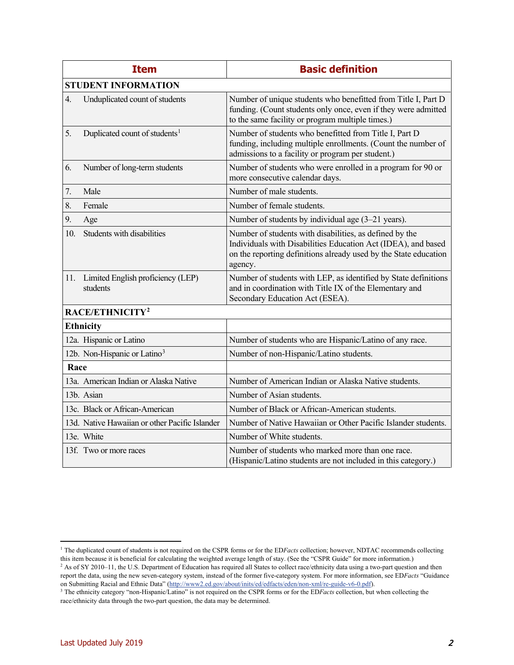|                            | <b>Item</b>                                    | <b>Basic definition</b>                                                                                                                                                                                 |
|----------------------------|------------------------------------------------|---------------------------------------------------------------------------------------------------------------------------------------------------------------------------------------------------------|
| <b>STUDENT INFORMATION</b> |                                                |                                                                                                                                                                                                         |
| 4.                         | Unduplicated count of students                 | Number of unique students who benefitted from Title I, Part D<br>funding. (Count students only once, even if they were admitted<br>to the same facility or program multiple times.)                     |
| 5.                         | Duplicated count of students <sup>1</sup>      | Number of students who benefitted from Title I, Part D<br>funding, including multiple enrollments. (Count the number of<br>admissions to a facility or program per student.)                            |
| 6.                         | Number of long-term students                   | Number of students who were enrolled in a program for 90 or<br>more consecutive calendar days.                                                                                                          |
| 7.                         | Male                                           | Number of male students.                                                                                                                                                                                |
| 8.                         | Female                                         | Number of female students.                                                                                                                                                                              |
| 9.                         | Age                                            | Number of students by individual age (3-21 years).                                                                                                                                                      |
| 10.                        | Students with disabilities                     | Number of students with disabilities, as defined by the<br>Individuals with Disabilities Education Act (IDEA), and based<br>on the reporting definitions already used by the State education<br>agency. |
| 11.                        | Limited English proficiency (LEP)<br>students  | Number of students with LEP, as identified by State definitions<br>and in coordination with Title IX of the Elementary and<br>Secondary Education Act (ESEA).                                           |
|                            | RACE/ETHNICITY <sup>2</sup>                    |                                                                                                                                                                                                         |
| <b>Ethnicity</b>           |                                                |                                                                                                                                                                                                         |
|                            | 12a. Hispanic or Latino                        | Number of students who are Hispanic/Latino of any race.                                                                                                                                                 |
|                            | 12b. Non-Hispanic or Latino <sup>3</sup>       | Number of non-Hispanic/Latino students.                                                                                                                                                                 |
| Race                       |                                                |                                                                                                                                                                                                         |
|                            | 13a. American Indian or Alaska Native          | Number of American Indian or Alaska Native students.                                                                                                                                                    |
|                            | 13b. Asian                                     | Number of Asian students.                                                                                                                                                                               |
|                            | 13c. Black or African-American                 | Number of Black or African-American students.                                                                                                                                                           |
|                            | 13d. Native Hawaiian or other Pacific Islander | Number of Native Hawaiian or Other Pacific Islander students.                                                                                                                                           |
|                            | 13e. White                                     | Number of White students.                                                                                                                                                                               |
|                            | 13f. Two or more races                         | Number of students who marked more than one race.<br>(Hispanic/Latino students are not included in this category.)                                                                                      |

<span id="page-1-0"></span><sup>&</sup>lt;sup>1</sup> The duplicated count of students is not required on the CSPR forms or for the EDFacts collection; however, NDTAC recommends collecting this item because it is beneficial for calculating the weighted average length of stay. (See the "CSPR Guide" for more information.)

<span id="page-1-1"></span><sup>&</sup>lt;sup>2</sup> As of SY 2010–11, the U.S. Department of Education has required all States to collect race/ethnicity data using a two-part question and then report the data, using the new seven-category system, instead of the former five-category system. For more information, see ED*Facts* "Guidance on Submitting Racial and Ethnic Data" [\(http://www2.ed.gov/about/inits/ed/edfacts/eden/non-xml/re-guide-v6-0.pdf\)](http://www2.ed.gov/about/inits/ed/edfacts/eden/non-xml/re-guide-v6-0.pdf).

<span id="page-1-2"></span><sup>&</sup>lt;sup>3</sup> The ethnicity category "non-Hispanic/Latino" is not required on the CSPR forms or for the ED*Facts* collection, but when collecting the race/ethnicity data through the two-part question, the data may be determined.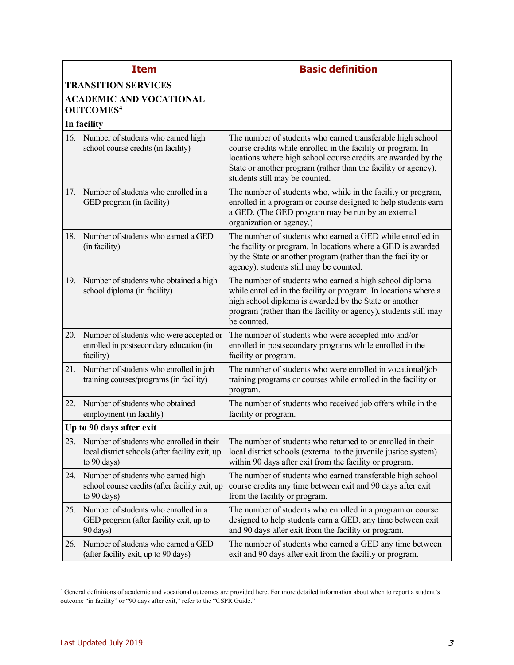|     | <b>Item</b>                                                                                                | <b>Basic definition</b>                                                                                                                                                                                                                                                                         |  |  |  |
|-----|------------------------------------------------------------------------------------------------------------|-------------------------------------------------------------------------------------------------------------------------------------------------------------------------------------------------------------------------------------------------------------------------------------------------|--|--|--|
|     | <b>TRANSITION SERVICES</b>                                                                                 |                                                                                                                                                                                                                                                                                                 |  |  |  |
|     | <b>ACADEMIC AND VOCATIONAL</b><br><b>OUTCOMES4</b>                                                         |                                                                                                                                                                                                                                                                                                 |  |  |  |
|     | In facility                                                                                                |                                                                                                                                                                                                                                                                                                 |  |  |  |
|     | 16. Number of students who earned high<br>school course credits (in facility)                              | The number of students who earned transferable high school<br>course credits while enrolled in the facility or program. In<br>locations where high school course credits are awarded by the<br>State or another program (rather than the facility or agency),<br>students still may be counted. |  |  |  |
| 17. | Number of students who enrolled in a<br>GED program (in facility)                                          | The number of students who, while in the facility or program,<br>enrolled in a program or course designed to help students earn<br>a GED. (The GED program may be run by an external<br>organization or agency.)                                                                                |  |  |  |
| 18. | Number of students who earned a GED<br>(in facility)                                                       | The number of students who earned a GED while enrolled in<br>the facility or program. In locations where a GED is awarded<br>by the State or another program (rather than the facility or<br>agency), students still may be counted.                                                            |  |  |  |
| 19. | Number of students who obtained a high<br>school diploma (in facility)                                     | The number of students who earned a high school diploma<br>while enrolled in the facility or program. In locations where a<br>high school diploma is awarded by the State or another<br>program (rather than the facility or agency), students still may<br>be counted.                         |  |  |  |
| 20. | Number of students who were accepted or<br>enrolled in postsecondary education (in<br>facility)            | The number of students who were accepted into and/or<br>enrolled in postsecondary programs while enrolled in the<br>facility or program.                                                                                                                                                        |  |  |  |
| 21. | Number of students who enrolled in job<br>training courses/programs (in facility)                          | The number of students who were enrolled in vocational/job<br>training programs or courses while enrolled in the facility or<br>program.                                                                                                                                                        |  |  |  |
| 22. | Number of students who obtained<br>employment (in facility)                                                | The number of students who received job offers while in the<br>facility or program.                                                                                                                                                                                                             |  |  |  |
|     | Up to 90 days after exit                                                                                   |                                                                                                                                                                                                                                                                                                 |  |  |  |
| 23. | Number of students who enrolled in their<br>local district schools (after facility exit, up<br>to 90 days) | The number of students who returned to or enrolled in their<br>local district schools (external to the juvenile justice system)<br>within 90 days after exit from the facility or program.                                                                                                      |  |  |  |
| 24. | Number of students who earned high<br>school course credits (after facility exit, up<br>to 90 days)        | The number of students who earned transferable high school<br>course credits any time between exit and 90 days after exit<br>from the facility or program.                                                                                                                                      |  |  |  |
| 25. | Number of students who enrolled in a<br>GED program (after facility exit, up to<br>90 days)                | The number of students who enrolled in a program or course<br>designed to help students earn a GED, any time between exit<br>and 90 days after exit from the facility or program.                                                                                                               |  |  |  |
| 26. | Number of students who earned a GED<br>(after facility exit, up to 90 days)                                | The number of students who earned a GED any time between<br>exit and 90 days after exit from the facility or program.                                                                                                                                                                           |  |  |  |

<span id="page-2-0"></span><sup>&</sup>lt;sup>4</sup> General definitions of academic and vocational outcomes are provided here. For more detailed information about when to report a student's outcome "in facility" or "90 days after exit," refer to the "CSPR Guide."